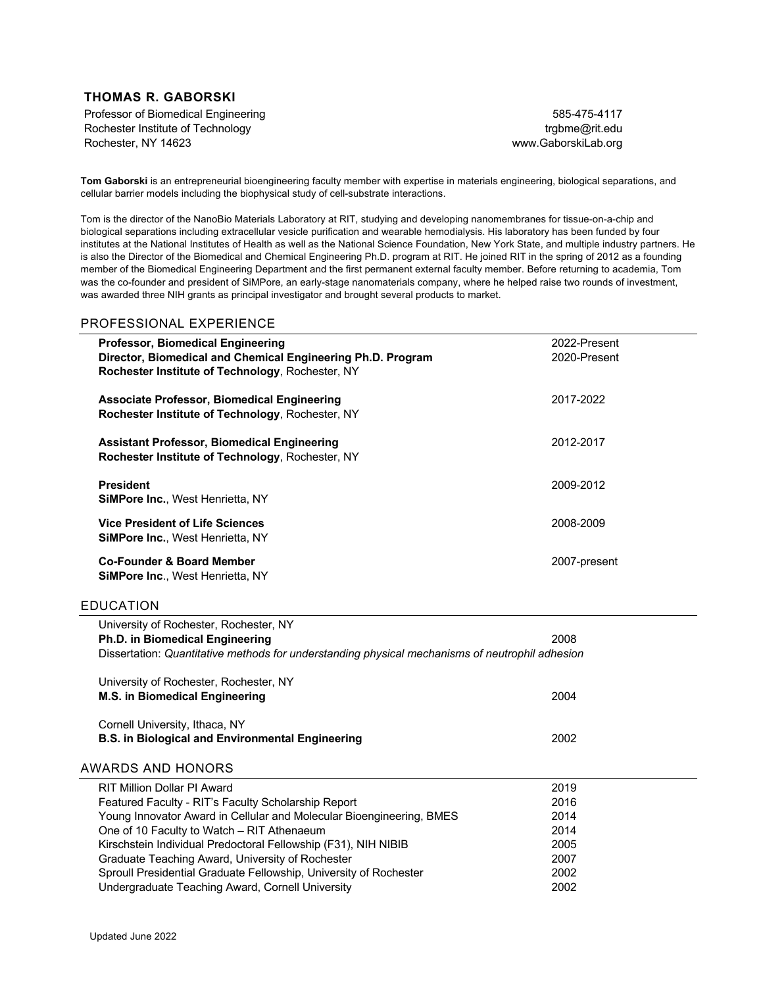## **THOMAS R. GABORSKI**

Professor of Biomedical Engineering Rochester Institute of Technology Rochester, NY 14623

585-475-4117 trgbme@rit.edu www.GaborskiLab.org

**Tom Gaborski** is an entrepreneurial bioengineering faculty member with expertise in materials engineering, biological separations, and cellular barrier models including the biophysical study of cell-substrate interactions.

Tom is the director of the NanoBio Materials Laboratory at RIT, studying and developing nanomembranes for tissue-on-a-chip and biological separations including extracellular vesicle purification and wearable hemodialysis. His laboratory has been funded by four institutes at the National Institutes of Health as well as the National Science Foundation, New York State, and multiple industry partners. He is also the Director of the Biomedical and Chemical Engineering Ph.D. program at RIT. He joined RIT in the spring of 2012 as a founding member of the Biomedical Engineering Department and the first permanent external faculty member. Before returning to academia, Tom was the co-founder and president of SiMPore, an early-stage nanomaterials company, where he helped raise two rounds of investment, was awarded three NIH grants as principal investigator and brought several products to market.

### PROFESSIONAL EXPERIENCE

| <b>Professor, Biomedical Engineering</b><br>Director, Biomedical and Chemical Engineering Ph.D. Program<br>Rochester Institute of Technology, Rochester, NY                         | 2022-Present<br>2020-Present |
|-------------------------------------------------------------------------------------------------------------------------------------------------------------------------------------|------------------------------|
| <b>Associate Professor, Biomedical Engineering</b><br>Rochester Institute of Technology, Rochester, NY                                                                              | 2017-2022                    |
| <b>Assistant Professor, Biomedical Engineering</b><br>Rochester Institute of Technology, Rochester, NY                                                                              | 2012-2017                    |
| <b>President</b><br>SiMPore Inc., West Henrietta, NY                                                                                                                                | 2009-2012                    |
| <b>Vice President of Life Sciences</b><br>SiMPore Inc., West Henrietta, NY                                                                                                          | 2008-2009                    |
| <b>Co-Founder &amp; Board Member</b><br>SiMPore Inc., West Henrietta, NY                                                                                                            | 2007-present                 |
| <b>EDUCATION</b>                                                                                                                                                                    |                              |
| University of Rochester, Rochester, NY<br><b>Ph.D. in Biomedical Engineering</b><br>Dissertation: Quantitative methods for understanding physical mechanisms of neutrophil adhesion | 2008                         |
| University of Rochester, Rochester, NY<br><b>M.S. in Biomedical Engineering</b>                                                                                                     | 2004                         |
| Cornell University, Ithaca, NY<br><b>B.S. in Biological and Environmental Engineering</b>                                                                                           | 2002                         |
| <b>AWARDS AND HONORS</b><br><b>RIT Million Dollar PI Award</b>                                                                                                                      | 2019                         |
| Featured Faculty - RIT's Faculty Scholarship Report                                                                                                                                 | 2016                         |

| KIT MIIIION DOIIAI FI AWAIU                                          | <b>ZU 19</b> |
|----------------------------------------------------------------------|--------------|
| Featured Faculty - RIT's Faculty Scholarship Report                  | 2016         |
| Young Innovator Award in Cellular and Molecular Bioengineering, BMES | 2014         |
| One of 10 Faculty to Watch – RIT Athenaeum                           | 2014         |
| Kirschstein Individual Predoctoral Fellowship (F31), NIH NIBIB       | 2005         |
| Graduate Teaching Award, University of Rochester                     | 2007         |
| Sproull Presidential Graduate Fellowship, University of Rochester    | 2002         |
| Undergraduate Teaching Award, Cornell University                     | 2002         |
|                                                                      |              |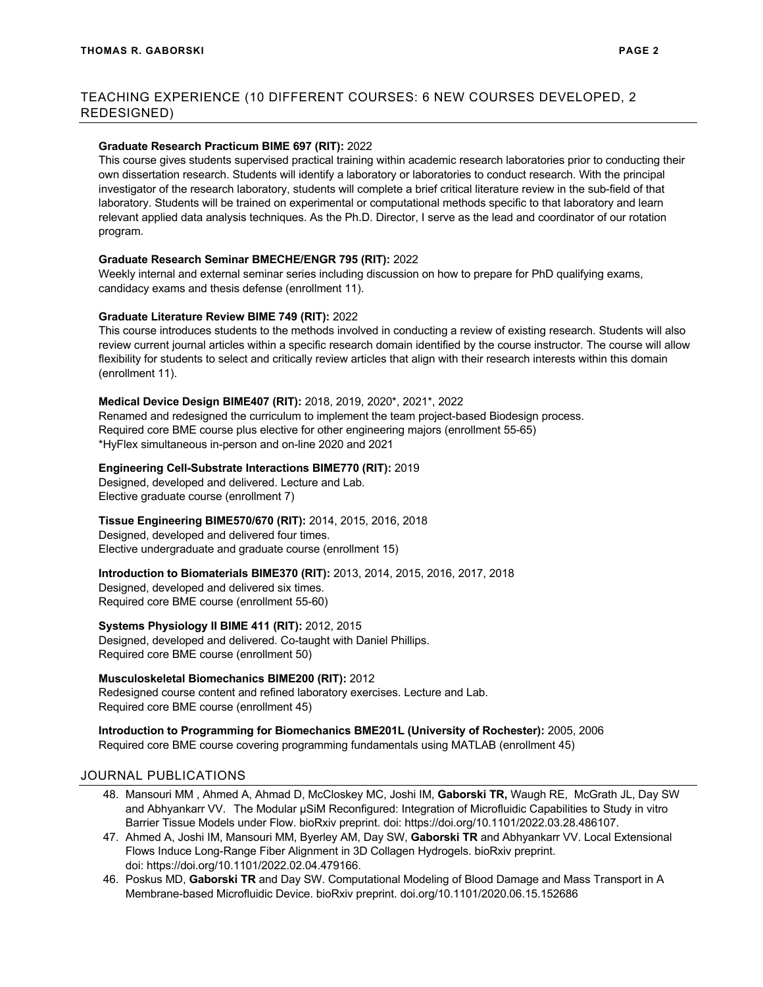## **Graduate Research Practicum BIME 697 (RIT):** 2022

This course gives students supervised practical training within academic research laboratories prior to conducting their own dissertation research. Students will identify a laboratory or laboratories to conduct research. With the principal investigator of the research laboratory, students will complete a brief critical literature review in the sub-field of that laboratory. Students will be trained on experimental or computational methods specific to that laboratory and learn relevant applied data analysis techniques. As the Ph.D. Director, I serve as the lead and coordinator of our rotation program.

## **Graduate Research Seminar BMECHE/ENGR 795 (RIT):** 2022

Weekly internal and external seminar series including discussion on how to prepare for PhD qualifying exams, candidacy exams and thesis defense (enrollment 11).

## **Graduate Literature Review BIME 749 (RIT):** 2022

This course introduces students to the methods involved in conducting a review of existing research. Students will also review current journal articles within a specific research domain identified by the course instructor. The course will allow flexibility for students to select and critically review articles that align with their research interests within this domain (enrollment 11).

## **Medical Device Design BIME407 (RIT):** 2018, 2019, 2020\*, 2021\*, 2022

Renamed and redesigned the curriculum to implement the team project-based Biodesign process. Required core BME course plus elective for other engineering majors (enrollment 55-65) \*HyFlex simultaneous in-person and on-line 2020 and 2021

## **Engineering Cell-Substrate Interactions BIME770 (RIT):** 2019

Designed, developed and delivered. Lecture and Lab. Elective graduate course (enrollment 7)

# **Tissue Engineering BIME570/670 (RIT):** 2014, 2015, 2016, 2018

Designed, developed and delivered four times. Elective undergraduate and graduate course (enrollment 15)

# **Introduction to Biomaterials BIME370 (RIT):** 2013, 2014, 2015, 2016, 2017, 2018

Designed, developed and delivered six times. Required core BME course (enrollment 55-60)

# **Systems Physiology II BIME 411 (RIT):** 2012, 2015

Designed, developed and delivered. Co-taught with Daniel Phillips. Required core BME course (enrollment 50)

# **Musculoskeletal Biomechanics BIME200 (RIT):** 2012

Redesigned course content and refined laboratory exercises. Lecture and Lab. Required core BME course (enrollment 45)

**Introduction to Programming for Biomechanics BME201L (University of Rochester):** 2005, 2006 Required core BME course covering programming fundamentals using MATLAB (enrollment 45)

# JOURNAL PUBLICATIONS

- 48. Mansouri MM , Ahmed A, Ahmad D, McCloskey MC, Joshi IM, **Gaborski TR,** Waugh RE, McGrath JL, Day SW and Abhyankarr VV. The Modular μSiM Reconfigured: Integration of Microfluidic Capabilities to Study in vitro Barrier Tissue Models under Flow. bioRxiv preprint. doi: https://doi.org/10.1101/2022.03.28.486107.
- 47. Ahmed A, Joshi IM, Mansouri MM, Byerley AM, Day SW, **Gaborski TR** and Abhyankarr VV. Local Extensional Flows Induce Long-Range Fiber Alignment in 3D Collagen Hydrogels. bioRxiv preprint. doi: https://doi.org/10.1101/2022.02.04.479166.
- 46. Poskus MD, **Gaborski TR** and Day SW. Computational Modeling of Blood Damage and Mass Transport in A Membrane-based Microfluidic Device. bioRxiv preprint. doi.org/10.1101/2020.06.15.152686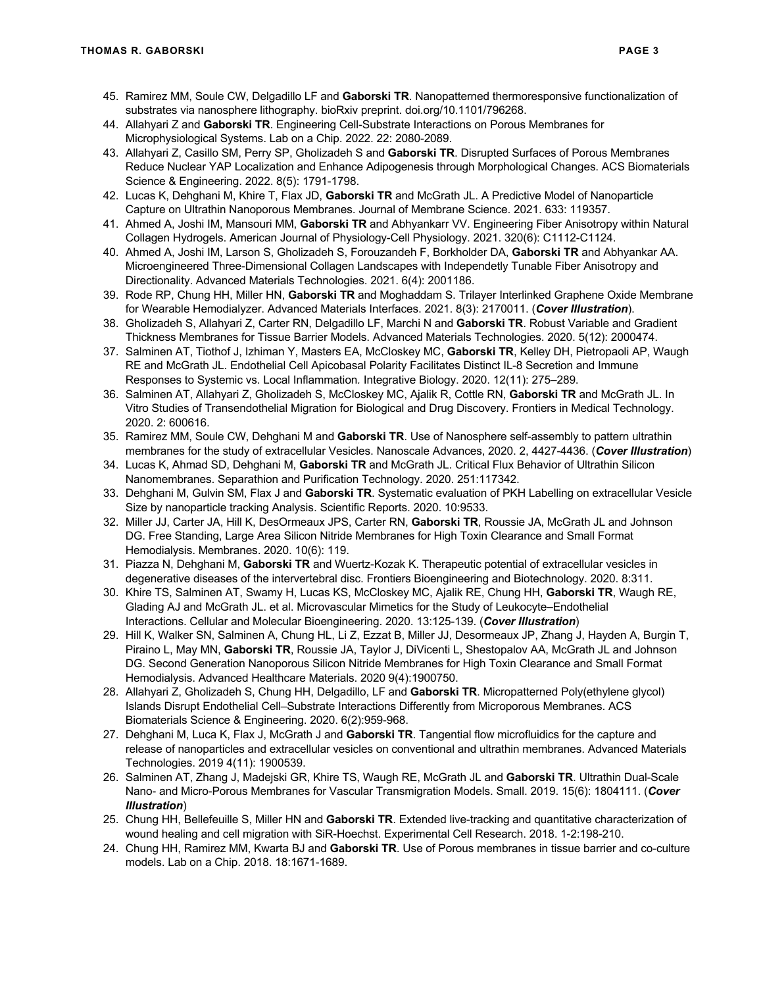- 45. Ramirez MM, Soule CW, Delgadillo LF and **Gaborski TR**. Nanopatterned thermoresponsive functionalization of substrates via nanosphere lithography. bioRxiv preprint. doi.org/10.1101/796268.
- 44. Allahyari Z and **Gaborski TR**. Engineering Cell-Substrate Interactions on Porous Membranes for Microphysiological Systems. Lab on a Chip. 2022. 22: 2080-2089.
- 43. Allahyari Z, Casillo SM, Perry SP, Gholizadeh S and **Gaborski TR**. Disrupted Surfaces of Porous Membranes Reduce Nuclear YAP Localization and Enhance Adipogenesis through Morphological Changes. ACS Biomaterials Science & Engineering. 2022. 8(5): 1791-1798.
- 42. Lucas K, Dehghani M, Khire T, Flax JD, **Gaborski TR** and McGrath JL. A Predictive Model of Nanoparticle Capture on Ultrathin Nanoporous Membranes. Journal of Membrane Science. 2021. 633: 119357.
- 41. Ahmed A, Joshi IM, Mansouri MM, **Gaborski TR** and Abhyankarr VV. Engineering Fiber Anisotropy within Natural Collagen Hydrogels. American Journal of Physiology-Cell Physiology. 2021. 320(6): C1112-C1124.
- 40. Ahmed A, Joshi IM, Larson S, Gholizadeh S, Forouzandeh F, Borkholder DA, **Gaborski TR** and Abhyankar AA. Microengineered Three-Dimensional Collagen Landscapes with Independetly Tunable Fiber Anisotropy and Directionality. Advanced Materials Technologies. 2021. 6(4): 2001186.
- 39. Rode RP, Chung HH, Miller HN, **Gaborski TR** and Moghaddam S. Trilayer Interlinked Graphene Oxide Membrane for Wearable Hemodialyzer. Advanced Materials Interfaces. 2021. 8(3): 2170011. (*Cover Illustration*).
- 38. Gholizadeh S, Allahyari Z, Carter RN, Delgadillo LF, Marchi N and **Gaborski TR**. Robust Variable and Gradient Thickness Membranes for Tissue Barrier Models. Advanced Materials Technologies. 2020. 5(12): 2000474.
- 37. Salminen AT, Tiothof J, Izhiman Y, Masters EA, McCloskey MC, **Gaborski TR**, Kelley DH, Pietropaoli AP, Waugh RE and McGrath JL. Endothelial Cell Apicobasal Polarity Facilitates Distinct IL-8 Secretion and Immune Responses to Systemic vs. Local Inflammation*.* Integrative Biology. 2020. 12(11): 275–289.
- 36. Salminen AT, Allahyari Z, Gholizadeh S, McCloskey MC, Ajalik R, Cottle RN, **Gaborski TR** and McGrath JL. In Vitro Studies of Transendothelial Migration for Biological and Drug Discovery. Frontiers in Medical Technology. 2020. 2: 600616.
- 35. Ramirez MM, Soule CW, Dehghani M and **Gaborski TR**. Use of Nanosphere self-assembly to pattern ultrathin membranes for the study of extracellular Vesicles. Nanoscale Advances, 2020. 2, 4427-4436. (*Cover Illustration*)
- 34. Lucas K, Ahmad SD, Dehghani M, **Gaborski TR** and McGrath JL. Critical Flux Behavior of Ultrathin Silicon Nanomembranes. Separathion and Purification Technology. 2020. 251:117342.
- 33. Dehghani M, Gulvin SM, Flax J and **Gaborski TR**. Systematic evaluation of PKH Labelling on extracellular Vesicle Size by nanoparticle tracking Analysis. Scientific Reports. 2020. 10:9533.
- 32. Miller JJ, Carter JA, Hill K, DesOrmeaux JPS, Carter RN, **Gaborski TR**, Roussie JA, McGrath JL and Johnson DG. Free Standing, Large Area Silicon Nitride Membranes for High Toxin Clearance and Small Format Hemodialysis. Membranes. 2020. 10(6): 119.
- 31. Piazza N, Dehghani M, **Gaborski TR** and Wuertz-Kozak K. Therapeutic potential of extracellular vesicles in degenerative diseases of the intervertebral disc. Frontiers Bioengineering and Biotechnology. 2020. 8:311.
- 30. Khire TS, Salminen AT, Swamy H, Lucas KS, McCloskey MC, Ajalik RE, Chung HH, **Gaborski TR**, Waugh RE, Glading AJ and McGrath JL. et al. Microvascular Mimetics for the Study of Leukocyte–Endothelial Interactions. Cellular and Molecular Bioengineering. 2020. 13:125-139. (*Cover Illustration*)
- 29. Hill K, Walker SN, Salminen A, Chung HL, Li Z, Ezzat B, Miller JJ, Desormeaux JP, Zhang J, Hayden A, Burgin T, Piraino L, May MN, **Gaborski TR**, Roussie JA, Taylor J, DiVicenti L, Shestopalov AA, McGrath JL and Johnson DG. Second Generation Nanoporous Silicon Nitride Membranes for High Toxin Clearance and Small Format Hemodialysis. Advanced Healthcare Materials. 2020 9(4):1900750.
- 28. Allahyari Z, Gholizadeh S, Chung HH, Delgadillo, LF and **Gaborski TR**. Micropatterned Poly(ethylene glycol) Islands Disrupt Endothelial Cell–Substrate Interactions Differently from Microporous Membranes. ACS Biomaterials Science & Engineering. 2020. 6(2):959-968.
- 27. Dehghani M, Luca K, Flax J, McGrath J and **Gaborski TR**. Tangential flow microfluidics for the capture and release of nanoparticles and extracellular vesicles on conventional and ultrathin membranes. Advanced Materials Technologies. 2019 4(11): 1900539.
- 26. Salminen AT, Zhang J, Madejski GR, Khire TS, Waugh RE, McGrath JL and **Gaborski TR**. Ultrathin Dual-Scale Nano- and Micro-Porous Membranes for Vascular Transmigration Models. Small. 2019. 15(6): 1804111. (*Cover Illustration*)
- 25. Chung HH, Bellefeuille S, Miller HN and **Gaborski TR**. Extended live-tracking and quantitative characterization of wound healing and cell migration with SiR-Hoechst. Experimental Cell Research. 2018. 1-2:198-210.
- 24. Chung HH, Ramirez MM, Kwarta BJ and **Gaborski TR**. Use of Porous membranes in tissue barrier and co-culture models. Lab on a Chip. 2018. 18:1671-1689.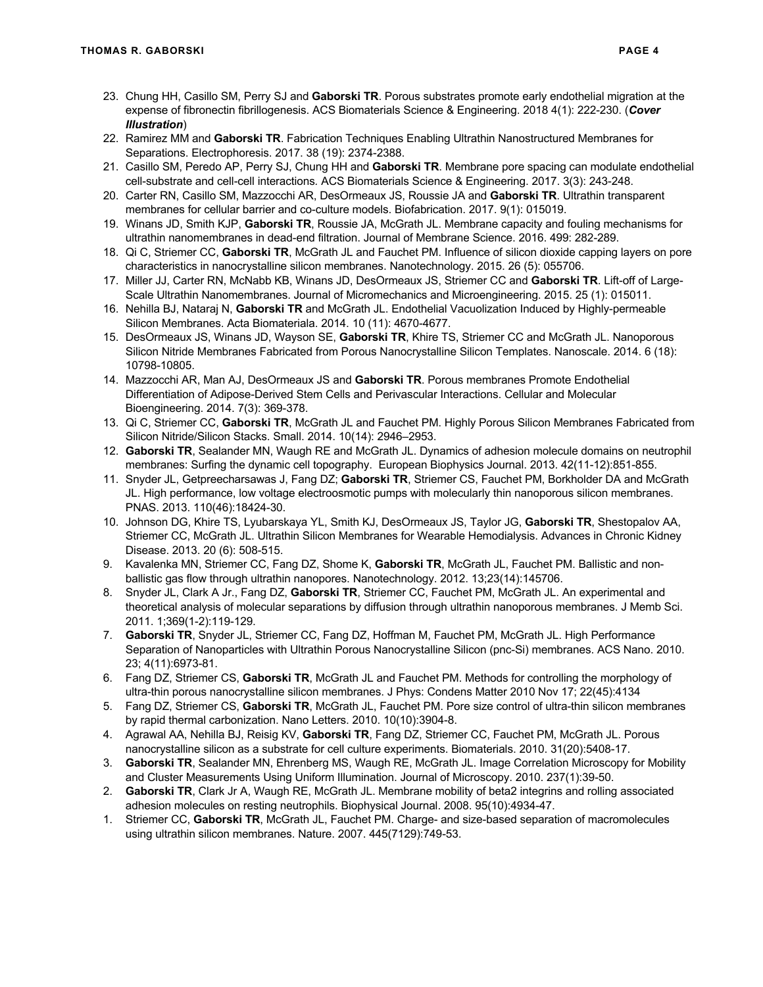- 23. Chung HH, Casillo SM, Perry SJ and **Gaborski TR**. Porous substrates promote early endothelial migration at the expense of fibronectin fibrillogenesis. ACS Biomaterials Science & Engineering. 2018 4(1): 222-230. (*Cover Illustration*)
- 22. Ramirez MM and **Gaborski TR**. Fabrication Techniques Enabling Ultrathin Nanostructured Membranes for Separations. Electrophoresis. 2017. 38 (19): 2374-2388.
- 21. Casillo SM, Peredo AP, Perry SJ, Chung HH and **Gaborski TR**. Membrane pore spacing can modulate endothelial cell-substrate and cell-cell interactions*.* ACS Biomaterials Science & Engineering. 2017. 3(3): 243-248.
- 20. Carter RN, Casillo SM, Mazzocchi AR, DesOrmeaux JS, Roussie JA and **Gaborski TR**. Ultrathin transparent membranes for cellular barrier and co-culture models. Biofabrication. 2017. 9(1): 015019.
- 19. Winans JD, Smith KJP, **Gaborski TR**, Roussie JA, McGrath JL. Membrane capacity and fouling mechanisms for ultrathin nanomembranes in dead-end filtration. Journal of Membrane Science. 2016. 499: 282-289.
- 18. Qi C, Striemer CC, **Gaborski TR**, McGrath JL and Fauchet PM. Influence of silicon dioxide capping layers on pore characteristics in nanocrystalline silicon membranes. Nanotechnology. 2015. 26 (5): 055706.
- 17. Miller JJ, Carter RN, McNabb KB, Winans JD, DesOrmeaux JS, Striemer CC and **Gaborski TR**. Lift-off of Large-Scale Ultrathin Nanomembranes. Journal of Micromechanics and Microengineering. 2015. 25 (1): 015011.
- 16. Nehilla BJ, Nataraj N, **Gaborski TR** and McGrath JL. Endothelial Vacuolization Induced by Highly-permeable Silicon Membranes. Acta Biomateriala. 2014. 10 (11): 4670-4677.
- 15. DesOrmeaux JS, Winans JD, Wayson SE, **Gaborski TR**, Khire TS, Striemer CC and McGrath JL. Nanoporous Silicon Nitride Membranes Fabricated from Porous Nanocrystalline Silicon Templates. Nanoscale. 2014. 6 (18): 10798-10805.
- 14. Mazzocchi AR, Man AJ, DesOrmeaux JS and **Gaborski TR**. Porous membranes Promote Endothelial Differentiation of Adipose-Derived Stem Cells and Perivascular Interactions. Cellular and Molecular Bioengineering. 2014. 7(3): 369-378.
- 13. Qi C, Striemer CC, **Gaborski TR**, McGrath JL and Fauchet PM. Highly Porous Silicon Membranes Fabricated from Silicon Nitride/Silicon Stacks. Small. 2014. 10(14): 2946–2953.
- 12. **Gaborski TR**, Sealander MN, Waugh RE and McGrath JL. Dynamics of adhesion molecule domains on neutrophil membranes: Surfing the dynamic cell topography. European Biophysics Journal. 2013. 42(11-12):851-855.
- 11. Snyder JL, Getpreecharsawas J, Fang DZ; **Gaborski TR**, Striemer CS, Fauchet PM, Borkholder DA and McGrath JL. High performance, low voltage electroosmotic pumps with molecularly thin nanoporous silicon membranes. PNAS. 2013. 110(46):18424-30.
- 10. Johnson DG, Khire TS, Lyubarskaya YL, Smith KJ, DesOrmeaux JS, Taylor JG, **Gaborski TR**, Shestopalov AA, Striemer CC, McGrath JL. Ultrathin Silicon Membranes for Wearable Hemodialysis. Advances in Chronic Kidney Disease. 2013. 20 (6): 508-515.
- 9. Kavalenka MN, Striemer CC, Fang DZ, Shome K, **Gaborski TR**, McGrath JL, Fauchet PM. Ballistic and nonballistic gas flow through ultrathin nanopores. Nanotechnology. 2012. 13;23(14):145706.
- 8. Snyder JL, Clark A Jr., Fang DZ, **Gaborski TR**, Striemer CC, Fauchet PM, McGrath JL. An experimental and theoretical analysis of molecular separations by diffusion through ultrathin nanoporous membranes. J Memb Sci. 2011. 1;369(1-2):119-129.
- 7. **Gaborski TR**, Snyder JL, Striemer CC, Fang DZ, Hoffman M, Fauchet PM, McGrath JL. High Performance Separation of Nanoparticles with Ultrathin Porous Nanocrystalline Silicon (pnc-Si) membranes. ACS Nano. 2010. 23; 4(11):6973-81.
- 6. Fang DZ, Striemer CS, **Gaborski TR**, McGrath JL and Fauchet PM. Methods for controlling the morphology of ultra-thin porous nanocrystalline silicon membranes. J Phys: Condens Matter 2010 Nov 17; 22(45):4134
- 5. Fang DZ, Striemer CS, **Gaborski TR**, McGrath JL, Fauchet PM. Pore size control of ultra-thin silicon membranes by rapid thermal carbonization. Nano Letters. 2010. 10(10):3904-8.
- 4. Agrawal AA, Nehilla BJ, Reisig KV, **Gaborski TR**, Fang DZ, Striemer CC, Fauchet PM, McGrath JL. Porous nanocrystalline silicon as a substrate for cell culture experiments. Biomaterials. 2010. 31(20):5408-17.
- 3. **Gaborski TR**, Sealander MN, Ehrenberg MS, Waugh RE, McGrath JL. Image Correlation Microscopy for Mobility and Cluster Measurements Using Uniform Illumination. Journal of Microscopy. 2010. 237(1):39-50.
- 2. **Gaborski TR**, Clark Jr A, Waugh RE, McGrath JL. Membrane mobility of beta2 integrins and rolling associated adhesion molecules on resting neutrophils. Biophysical Journal. 2008. 95(10):4934-47.
- 1. Striemer CC, **Gaborski TR**, McGrath JL, Fauchet PM. Charge- and size-based separation of macromolecules using ultrathin silicon membranes. Nature. 2007. 445(7129):749-53.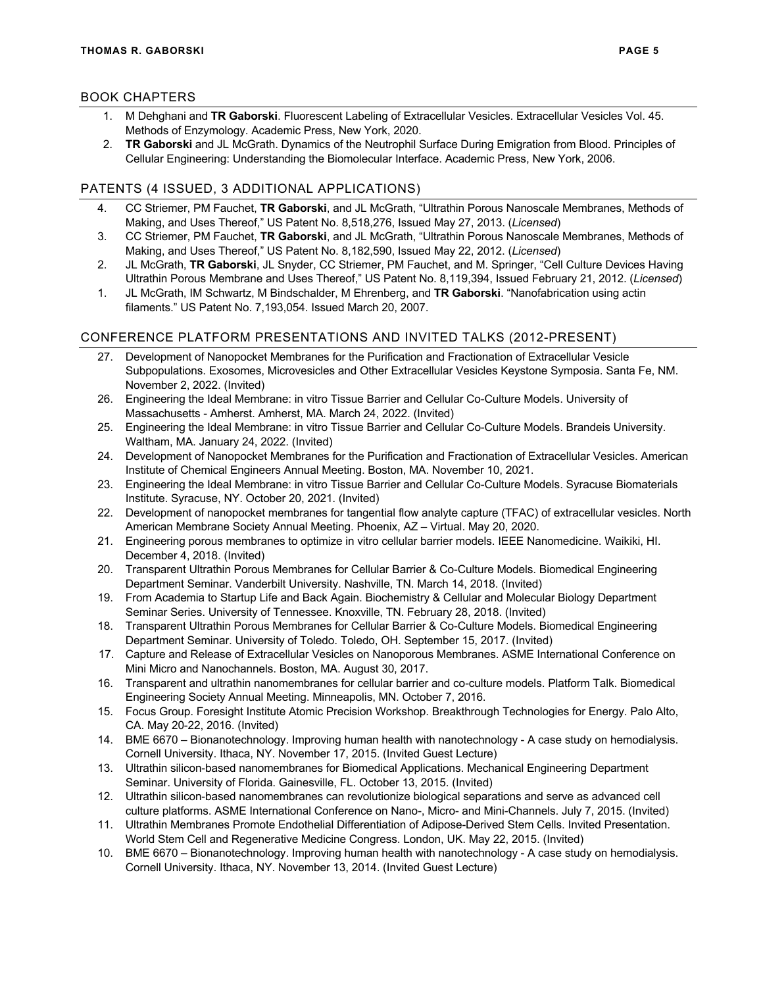## BOOK CHAPTERS

- 1. M Dehghani and **TR Gaborski**. Fluorescent Labeling of Extracellular Vesicles. Extracellular Vesicles Vol. 45. Methods of Enzymology. Academic Press, New York, 2020.
- 2. **TR Gaborski** and JL McGrath. Dynamics of the Neutrophil Surface During Emigration from Blood. Principles of Cellular Engineering: Understanding the Biomolecular Interface. Academic Press, New York, 2006.

## PATENTS (4 ISSUED, 3 ADDITIONAL APPLICATIONS)

- 4. CC Striemer, PM Fauchet, **TR Gaborski**, and JL McGrath, "Ultrathin Porous Nanoscale Membranes, Methods of Making, and Uses Thereof," US Patent No. 8,518,276, Issued May 27, 2013. (*Licensed*)
- 3. CC Striemer, PM Fauchet, **TR Gaborski**, and JL McGrath, "Ultrathin Porous Nanoscale Membranes, Methods of Making, and Uses Thereof," US Patent No. 8,182,590, Issued May 22, 2012. (*Licensed*)
- 2. JL McGrath, **TR Gaborski**, JL Snyder, CC Striemer, PM Fauchet, and M. Springer, "Cell Culture Devices Having Ultrathin Porous Membrane and Uses Thereof," US Patent No. 8,119,394, Issued February 21, 2012. (*Licensed*)
- 1. JL McGrath, IM Schwartz, M Bindschalder, M Ehrenberg, and **TR Gaborski**. "Nanofabrication using actin filaments." US Patent No. 7,193,054. Issued March 20, 2007.

## CONFERENCE PLATFORM PRESENTATIONS AND INVITED TALKS (2012-PRESENT)

- 27. Development of Nanopocket Membranes for the Purification and Fractionation of Extracellular Vesicle Subpopulations. Exosomes, Microvesicles and Other Extracellular Vesicles Keystone Symposia. Santa Fe, NM. November 2, 2022. (Invited)
- 26. Engineering the Ideal Membrane: in vitro Tissue Barrier and Cellular Co-Culture Models. University of Massachusetts - Amherst. Amherst, MA. March 24, 2022. (Invited)
- 25. Engineering the Ideal Membrane: in vitro Tissue Barrier and Cellular Co-Culture Models. Brandeis University. Waltham, MA. January 24, 2022. (Invited)
- 24. Development of Nanopocket Membranes for the Purification and Fractionation of Extracellular Vesicles. American Institute of Chemical Engineers Annual Meeting. Boston, MA. November 10, 2021.
- 23. Engineering the Ideal Membrane: in vitro Tissue Barrier and Cellular Co-Culture Models. Syracuse Biomaterials Institute. Syracuse, NY. October 20, 2021. (Invited)
- 22. Development of nanopocket membranes for tangential flow analyte capture (TFAC) of extracellular vesicles. North American Membrane Society Annual Meeting. Phoenix, AZ – Virtual. May 20, 2020.
- 21. Engineering porous membranes to optimize in vitro cellular barrier models. IEEE Nanomedicine. Waikiki, HI. December 4, 2018. (Invited)
- 20. Transparent Ultrathin Porous Membranes for Cellular Barrier & Co-Culture Models. Biomedical Engineering Department Seminar. Vanderbilt University. Nashville, TN. March 14, 2018. (Invited)
- 19. From Academia to Startup Life and Back Again. Biochemistry & Cellular and Molecular Biology Department Seminar Series. University of Tennessee. Knoxville, TN. February 28, 2018. (Invited)
- 18. Transparent Ultrathin Porous Membranes for Cellular Barrier & Co-Culture Models. Biomedical Engineering Department Seminar. University of Toledo. Toledo, OH. September 15, 2017. (Invited)
- 17. Capture and Release of Extracellular Vesicles on Nanoporous Membranes. ASME International Conference on Mini Micro and Nanochannels. Boston, MA. August 30, 2017.
- 16. Transparent and ultrathin nanomembranes for cellular barrier and co-culture models. Platform Talk. Biomedical Engineering Society Annual Meeting. Minneapolis, MN. October 7, 2016.
- 15. Focus Group. Foresight Institute Atomic Precision Workshop. Breakthrough Technologies for Energy. Palo Alto, CA. May 20-22, 2016. (Invited)
- 14. BME 6670 Bionanotechnology. Improving human health with nanotechnology A case study on hemodialysis. Cornell University. Ithaca, NY. November 17, 2015. (Invited Guest Lecture)
- 13. Ultrathin silicon-based nanomembranes for Biomedical Applications. Mechanical Engineering Department Seminar. University of Florida. Gainesville, FL. October 13, 2015. (Invited)
- 12. Ultrathin silicon-based nanomembranes can revolutionize biological separations and serve as advanced cell culture platforms. ASME International Conference on Nano-, Micro- and Mini-Channels. July 7, 2015. (Invited)
- 11. Ultrathin Membranes Promote Endothelial Differentiation of Adipose-Derived Stem Cells. Invited Presentation. World Stem Cell and Regenerative Medicine Congress. London, UK. May 22, 2015. (Invited)
- 10. BME 6670 Bionanotechnology. Improving human health with nanotechnology A case study on hemodialysis. Cornell University. Ithaca, NY. November 13, 2014. (Invited Guest Lecture)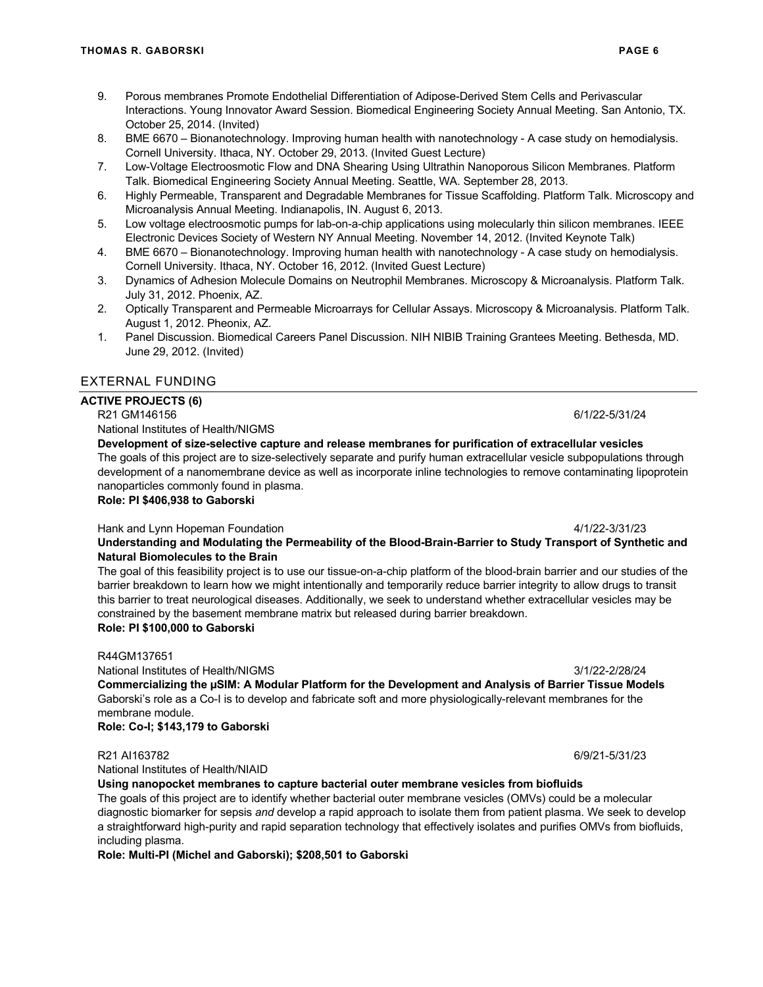- 9. Porous membranes Promote Endothelial Differentiation of Adipose-Derived Stem Cells and Perivascular Interactions. Young Innovator Award Session. Biomedical Engineering Society Annual Meeting. San Antonio, TX. October 25, 2014. (Invited)
- 8. BME 6670 Bionanotechnology. Improving human health with nanotechnology A case study on hemodialysis. Cornell University. Ithaca, NY. October 29, 2013. (Invited Guest Lecture)
- 7. Low-Voltage Electroosmotic Flow and DNA Shearing Using Ultrathin Nanoporous Silicon Membranes. Platform Talk. Biomedical Engineering Society Annual Meeting. Seattle, WA. September 28, 2013.
- 6. Highly Permeable, Transparent and Degradable Membranes for Tissue Scaffolding. Platform Talk. Microscopy and Microanalysis Annual Meeting. Indianapolis, IN. August 6, 2013.
- 5. Low voltage electroosmotic pumps for lab-on-a-chip applications using molecularly thin silicon membranes. IEEE Electronic Devices Society of Western NY Annual Meeting. November 14, 2012. (Invited Keynote Talk)
- 4. BME 6670 Bionanotechnology. Improving human health with nanotechnology A case study on hemodialysis. Cornell University. Ithaca, NY. October 16, 2012. (Invited Guest Lecture)
- 3. Dynamics of Adhesion Molecule Domains on Neutrophil Membranes. Microscopy & Microanalysis. Platform Talk. July 31, 2012. Phoenix, AZ.
- 2. Optically Transparent and Permeable Microarrays for Cellular Assays. Microscopy & Microanalysis. Platform Talk. August 1, 2012. Pheonix, AZ.
- 1. Panel Discussion. Biomedical Careers Panel Discussion. NIH NIBIB Training Grantees Meeting. Bethesda, MD. June 29, 2012. (Invited)

## EXTERNAL FUNDING

## **ACTIVE PROJECTS (6)**

### R21 GM146156 6/1/22-5/31/24

National Institutes of Health/NIGMS

**Development of size-selective capture and release membranes for purification of extracellular vesicles** The goals of this project are to size-selectively separate and purify human extracellular vesicle subpopulations through development of a nanomembrane device as well as incorporate inline technologies to remove contaminating lipoprotein nanoparticles commonly found in plasma.

## **Role: PI \$406,938 to Gaborski**

### Hank and Lynn Hopeman Foundation 4/1/22-3/31/23

**Understanding and Modulating the Permeability of the Blood-Brain-Barrier to Study Transport of Synthetic and Natural Biomolecules to the Brain** 

The goal of this feasibility project is to use our tissue-on-a-chip platform of the blood-brain barrier and our studies of the barrier breakdown to learn how we might intentionally and temporarily reduce barrier integrity to allow drugs to transit this barrier to treat neurological diseases. Additionally, we seek to understand whether extracellular vesicles may be constrained by the basement membrane matrix but released during barrier breakdown. **Role: PI \$100,000 to Gaborski**

R44GM137651

National Institutes of Health/NIGMS 3/1/22-2/28/24 **Commercializing the µSIM: A Modular Platform for the Development and Analysis of Barrier Tissue Models**  Gaborski's role as a Co-I is to develop and fabricate soft and more physiologically-relevant membranes for the membrane module.

**Role: Co-I; \$143,179 to Gaborski**

### R21 AI163782 6/9/21-5/31/23

National Institutes of Health/NIAID

### **Using nanopocket membranes to capture bacterial outer membrane vesicles from biofluids**

The goals of this project are to identify whether bacterial outer membrane vesicles (OMVs) could be a molecular diagnostic biomarker for sepsis *and* develop a rapid approach to isolate them from patient plasma. We seek to develop a straightforward high-purity and rapid separation technology that effectively isolates and purifies OMVs from biofluids, including plasma.

**Role: Multi-PI (Michel and Gaborski); \$208,501 to Gaborski**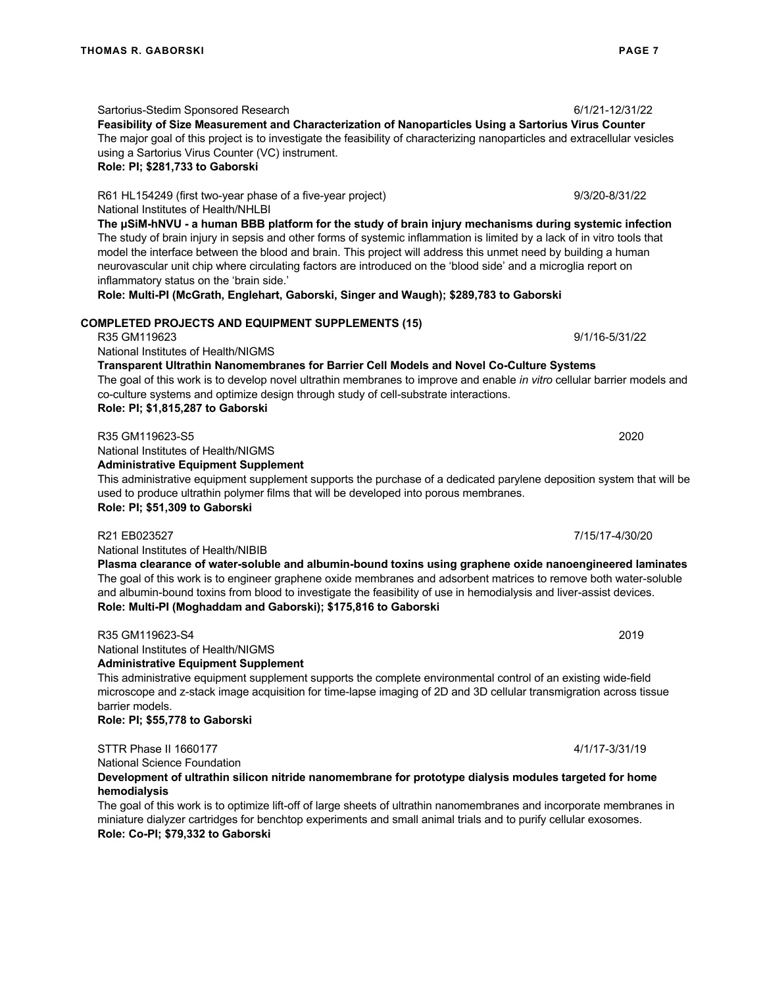Sartorius-Stedim Sponsored Research 6/1/21-12/31/22

**Feasibility of Size Measurement and Characterization of Nanoparticles Using a Sartorius Virus Counter**  The major goal of this project is to investigate the feasibility of characterizing nanoparticles and extracellular vesicles using a Sartorius Virus Counter (VC) instrument.

#### **Role: PI; \$281,733 to Gaborski**

R61 HL154249 (first two-year phase of a five-year project) 9/3/20-8/31/22 National Institutes of Health/NHLBI

**The μSiM-hNVU - a human BBB platform for the study of brain injury mechanisms during systemic infection**  The study of brain injury in sepsis and other forms of systemic inflammation is limited by a lack of in vitro tools that model the interface between the blood and brain. This project will address this unmet need by building a human neurovascular unit chip where circulating factors are introduced on the 'blood side' and a microglia report on inflammatory status on the 'brain side.'

**Role: Multi-PI (McGrath, Englehart, Gaborski, Singer and Waugh); \$289,783 to Gaborski**

### **COMPLETED PROJECTS AND EQUIPMENT SUPPLEMENTS (15)**

R35 GM119623 9/1/16-5/31/22

National Institutes of Health/NIGMS

#### **Transparent Ultrathin Nanomembranes for Barrier Cell Models and Novel Co-Culture Systems**

The goal of this work is to develop novel ultrathin membranes to improve and enable *in vitro* cellular barrier models and co-culture systems and optimize design through study of cell-substrate interactions. **Role: PI; \$1,815,287 to Gaborski**

National Institutes of Health/NIGMS **Administrative Equipment Supplement** This administrative equipment supplement supports the purchase of a dedicated parylene deposition system that will be used to produce ultrathin polymer films that will be developed into porous membranes.

**Role: PI; \$51,309 to Gaborski**

National Institutes of Health/NIBIB **Plasma clearance of water-soluble and albumin-bound toxins using graphene oxide nanoengineered laminates**  The goal of this work is to engineer graphene oxide membranes and adsorbent matrices to remove both water-soluble and albumin-bound toxins from blood to investigate the feasibility of use in hemodialysis and liver-assist devices.

## **Role: Multi-PI (Moghaddam and Gaborski); \$175,816 to Gaborski**

R35 GM119623-S4 2019 National Institutes of Health/NIGMS **Administrative Equipment Supplement**

This administrative equipment supplement supports the complete environmental control of an existing wide-field microscope and z-stack image acquisition for time-lapse imaging of 2D and 3D cellular transmigration across tissue barrier models.

**Role: PI; \$55,778 to Gaborski**

STTR Phase II 1660177 4/1/17-3/31/19

National Science Foundation

#### **Development of ultrathin silicon nitride nanomembrane for prototype dialysis modules targeted for home hemodialysis**

The goal of this work is to optimize lift-off of large sheets of ultrathin nanomembranes and incorporate membranes in miniature dialyzer cartridges for benchtop experiments and small animal trials and to purify cellular exosomes. **Role: Co-PI; \$79,332 to Gaborski**

R35 GM119623-S5 2020

R21 EB023527 7/15/17-4/30/20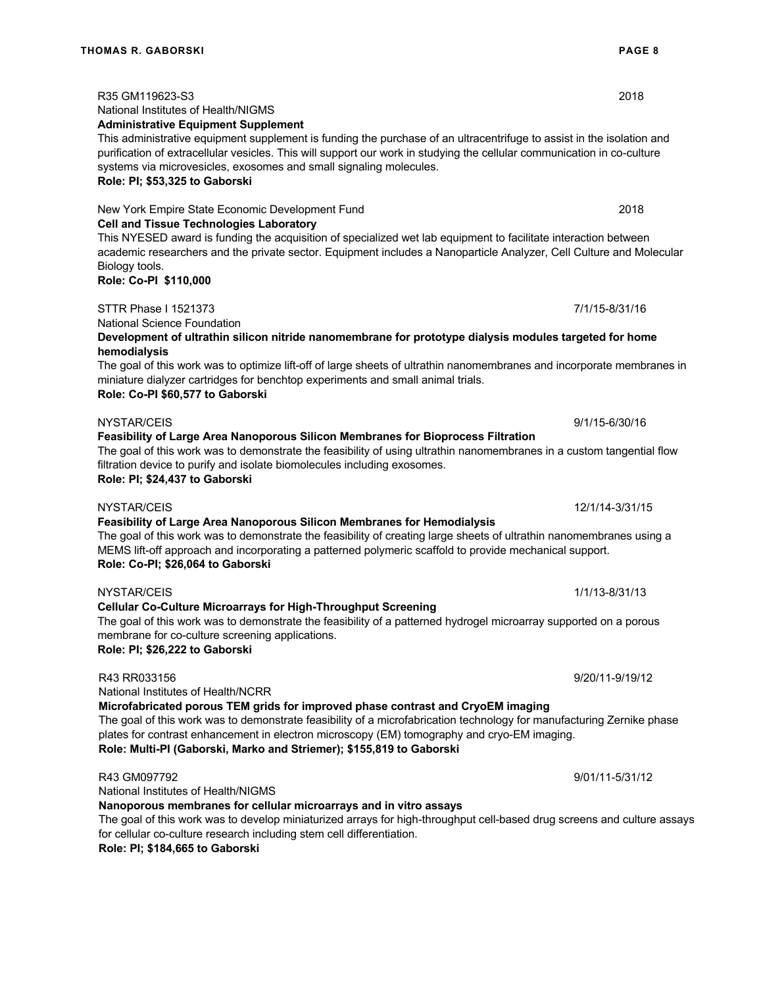R35 GM119623-S3 2018

NYSTAR/CEIS 1/1/13-8/31/13

National Institutes of Health/NIGMS

**Administrative Equipment Supplement** This administrative equipment supplement is funding the purchase of an ultracentrifuge to assist in the isolation and

**Cell and Tissue Technologies Laboratory**

#### purification of extracellular vesicles. This will support our work in studying the cellular communication in co-culture systems via microvesicles, exosomes and small signaling molecules.

#### **Role: PI; \$53,325 to Gaborski**

New York Empire State Economic Development Fund 2018

This NYESED award is funding the acquisition of specialized wet lab equipment to facilitate interaction between academic researchers and the private sector. Equipment includes a Nanoparticle Analyzer, Cell Culture and Molecular Biology tools.

**Role: Co-PI \$110,000**

STTR Phase I 1521373 7/1/15-8/31/16

National Science Foundation

**Development of ultrathin silicon nitride nanomembrane for prototype dialysis modules targeted for home hemodialysis**

The goal of this work was to optimize lift-off of large sheets of ultrathin nanomembranes and incorporate membranes in miniature dialyzer cartridges for benchtop experiments and small animal trials. **Role: Co-PI \$60,577 to Gaborski**

NYSTAR/CEIS 9/1/15-6/30/16 **Feasibility of Large Area Nanoporous Silicon Membranes for Bioprocess Filtration**

The goal of this work was to demonstrate the feasibility of using ultrathin nanomembranes in a custom tangential flow filtration device to purify and isolate biomolecules including exosomes.

**Role: PI; \$24,437 to Gaborski**

# NYSTAR/CEIS 12/1/14-3/31/15

**Feasibility of Large Area Nanoporous Silicon Membranes for Hemodialysis**

The goal of this work was to demonstrate the feasibility of creating large sheets of ultrathin nanomembranes using a MEMS lift-off approach and incorporating a patterned polymeric scaffold to provide mechanical support. **Role: Co-PI; \$26,064 to Gaborski**

**Cellular Co-Culture Microarrays for High-Throughput Screening** The goal of this work was to demonstrate the feasibility of a patterned hydrogel microarray supported on a porous

membrane for co-culture screening applications. **Role: PI; \$26,222 to Gaborski**

R43 RR033156 9/20/11-9/12 National Institutes of Health/NCRR

**Microfabricated porous TEM grids for improved phase contrast and CryoEM imaging**

The goal of this work was to demonstrate feasibility of a microfabrication technology for manufacturing Zernike phase plates for contrast enhancement in electron microscopy (EM) tomography and cryo-EM imaging. **Role: Multi-PI (Gaborski, Marko and Striemer); \$155,819 to Gaborski**

## R43 GM097792 9/01/11-5/31/12

National Institutes of Health/NIGMS

**Nanoporous membranes for cellular microarrays and in vitro assays**

The goal of this work was to develop miniaturized arrays for high-throughput cell-based drug screens and culture assays for cellular co-culture research including stem cell differentiation.

**Role: PI; \$184,665 to Gaborski**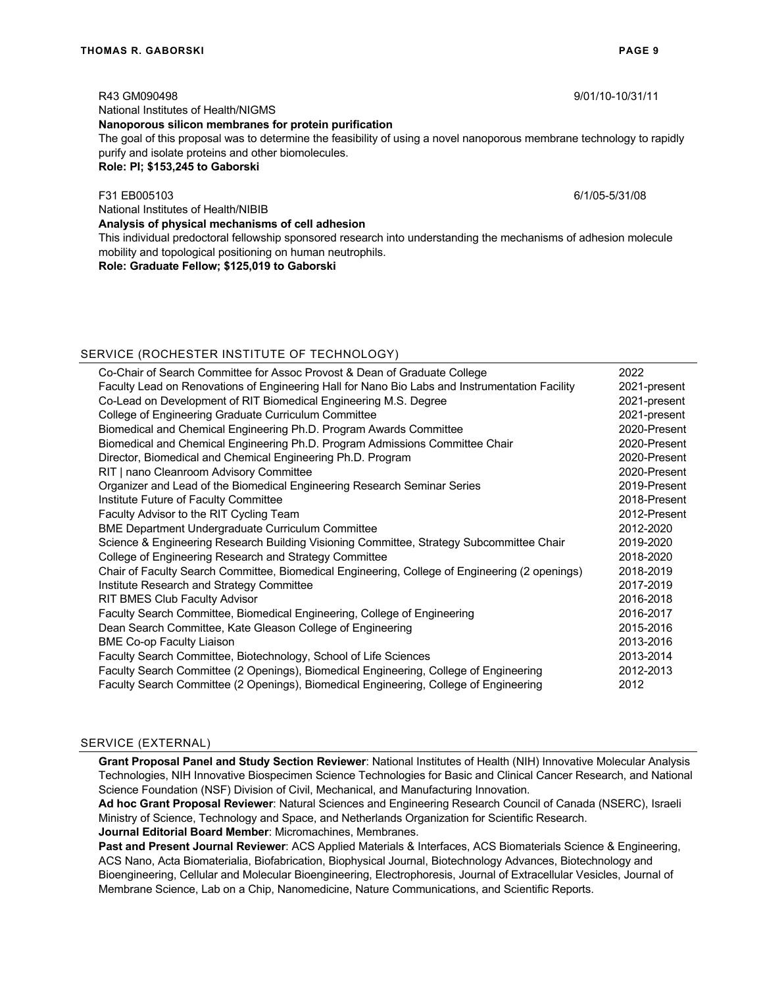R43 GM090498 9/01/10-10/31/11

National Institutes of Health/NIGMS

#### **Nanoporous silicon membranes for protein purification**

The goal of this proposal was to determine the feasibility of using a novel nanoporous membrane technology to rapidly purify and isolate proteins and other biomolecules.

#### **Role: PI; \$153,245 to Gaborski**

#### F31 EB005103 6/1/05-5/31/08

National Institutes of Health/NIBIB

**Analysis of physical mechanisms of cell adhesion** This individual predoctoral fellowship sponsored research into understanding the mechanisms of adhesion molecule mobility and topological positioning on human neutrophils.

**Role: Graduate Fellow; \$125,019 to Gaborski**

| SERVICE (ROCHESTER INSTITUTE OF TECHNOLOGY)                                                    |              |
|------------------------------------------------------------------------------------------------|--------------|
| Co-Chair of Search Committee for Assoc Provost & Dean of Graduate College                      | 2022         |
| Faculty Lead on Renovations of Engineering Hall for Nano Bio Labs and Instrumentation Facility | 2021-present |
| Co-Lead on Development of RIT Biomedical Engineering M.S. Degree                               | 2021-present |
| College of Engineering Graduate Curriculum Committee                                           | 2021-present |
| Biomedical and Chemical Engineering Ph.D. Program Awards Committee                             | 2020-Present |
| Biomedical and Chemical Engineering Ph.D. Program Admissions Committee Chair                   | 2020-Present |
| Director, Biomedical and Chemical Engineering Ph.D. Program                                    | 2020-Present |
| RIT   nano Cleanroom Advisory Committee                                                        | 2020-Present |
| Organizer and Lead of the Biomedical Engineering Research Seminar Series                       | 2019-Present |
| Institute Future of Faculty Committee                                                          | 2018-Present |
| Faculty Advisor to the RIT Cycling Team                                                        | 2012-Present |
| <b>BME Department Undergraduate Curriculum Committee</b>                                       | 2012-2020    |
| Science & Engineering Research Building Visioning Committee, Strategy Subcommittee Chair       | 2019-2020    |
| College of Engineering Research and Strategy Committee                                         | 2018-2020    |
| Chair of Faculty Search Committee, Biomedical Engineering, College of Engineering (2 openings) | 2018-2019    |
| Institute Research and Strategy Committee                                                      | 2017-2019    |
| <b>RIT BMES Club Faculty Advisor</b>                                                           | 2016-2018    |
| Faculty Search Committee, Biomedical Engineering, College of Engineering                       | 2016-2017    |
| Dean Search Committee, Kate Gleason College of Engineering                                     | 2015-2016    |
| <b>BME Co-op Faculty Liaison</b>                                                               | 2013-2016    |
| Faculty Search Committee, Biotechnology, School of Life Sciences                               | 2013-2014    |
| Faculty Search Committee (2 Openings), Biomedical Engineering, College of Engineering          | 2012-2013    |
| Faculty Search Committee (2 Openings), Biomedical Engineering, College of Engineering          | 2012         |
|                                                                                                |              |

#### SERVICE (EXTERNAL)

**Grant Proposal Panel and Study Section Reviewer**: National Institutes of Health (NIH) Innovative Molecular Analysis Technologies, NIH Innovative Biospecimen Science Technologies for Basic and Clinical Cancer Research, and National Science Foundation (NSF) Division of Civil, Mechanical, and Manufacturing Innovation.

**Ad hoc Grant Proposal Reviewer**: Natural Sciences and Engineering Research Council of Canada (NSERC), Israeli Ministry of Science, Technology and Space, and Netherlands Organization for Scientific Research.

**Journal Editorial Board Member**: Micromachines, Membranes.

**Past and Present Journal Reviewer**: ACS Applied Materials & Interfaces, ACS Biomaterials Science & Engineering, ACS Nano, Acta Biomaterialia, Biofabrication, Biophysical Journal, Biotechnology Advances, Biotechnology and Bioengineering, Cellular and Molecular Bioengineering, Electrophoresis, Journal of Extracellular Vesicles, Journal of Membrane Science, Lab on a Chip, Nanomedicine, Nature Communications, and Scientific Reports.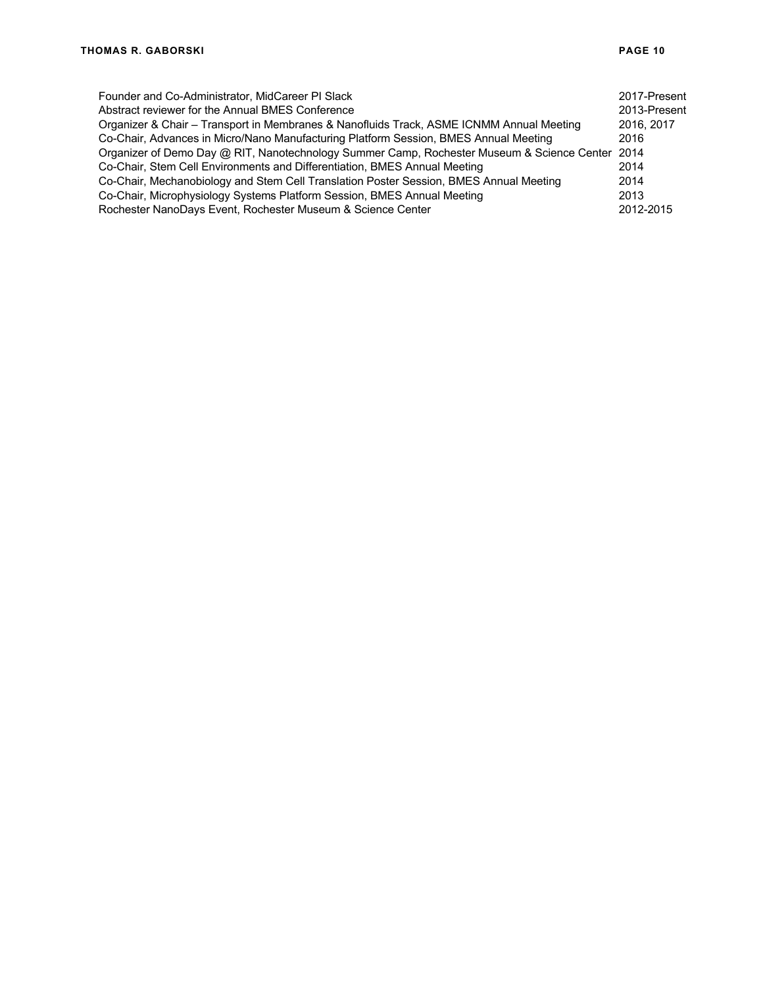| Founder and Co-Administrator, MidCareer PI Slack                                                | 2017-Present |
|-------------------------------------------------------------------------------------------------|--------------|
| Abstract reviewer for the Annual BMES Conference                                                | 2013-Present |
| Organizer & Chair – Transport in Membranes & Nanofluids Track, ASME ICNMM Annual Meeting        | 2016, 2017   |
| Co-Chair, Advances in Micro/Nano Manufacturing Platform Session, BMES Annual Meeting            | 2016         |
| Organizer of Demo Day @ RIT, Nanotechnology Summer Camp, Rochester Museum & Science Center 2014 |              |
| Co-Chair, Stem Cell Environments and Differentiation, BMES Annual Meeting                       | 2014         |
| Co-Chair, Mechanobiology and Stem Cell Translation Poster Session, BMES Annual Meeting          | 2014         |
| Co-Chair, Microphysiology Systems Platform Session, BMES Annual Meeting                         | 2013         |
| Rochester NanoDays Event, Rochester Museum & Science Center                                     | 2012-2015    |